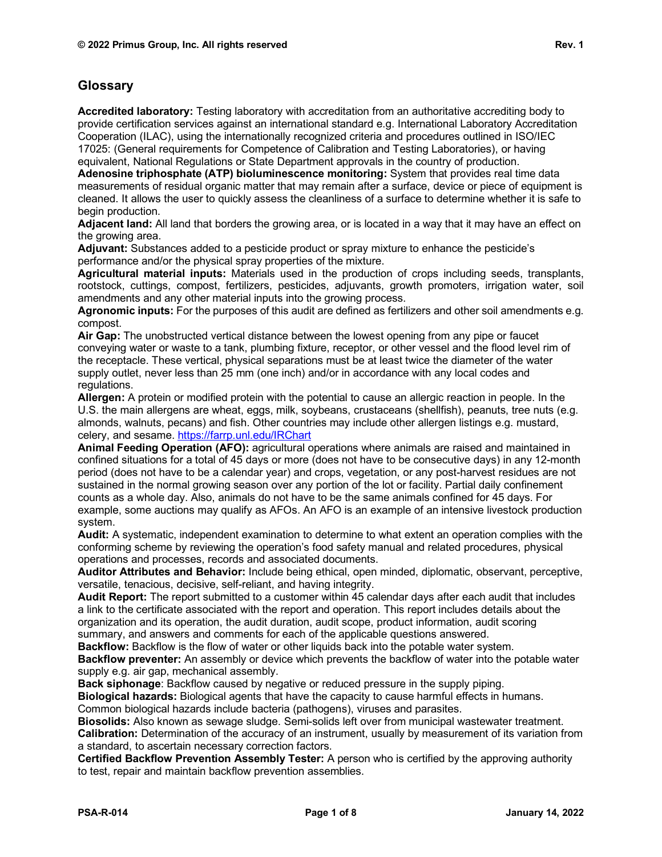## **Glossary**

**Accredited laboratory:** Testing laboratory with accreditation from an authoritative accrediting body to provide certification services against an international standard e.g. International Laboratory Accreditation Cooperation (ILAC), using the internationally recognized criteria and procedures outlined in ISO/IEC 17025: (General requirements for Competence of Calibration and Testing Laboratories), or having equivalent, National Regulations or State Department approvals in the country of production.

**Adenosine triphosphate (ATP) bioluminescence monitoring:** System that provides real time data measurements of residual organic matter that may remain after a surface, device or piece of equipment is cleaned. It allows the user to quickly assess the cleanliness of a surface to determine whether it is safe to begin production.

**Adjacent land:** All land that borders the growing area, or is located in a way that it may have an effect on the growing area.

**Adjuvant:** Substances added to a pesticide product or spray mixture to enhance the pesticide's performance and/or the physical spray properties of the mixture.

**Agricultural material inputs:** Materials used in the production of crops including seeds, transplants, rootstock, cuttings, compost, fertilizers, pesticides, adjuvants, growth promoters, irrigation water, soil amendments and any other material inputs into the growing process.

**Agronomic inputs:** For the purposes of this audit are defined as fertilizers and other soil amendments e.g. compost.

**Air Gap:** The unobstructed vertical distance between the lowest opening from any pipe or faucet conveying water or waste to a tank, plumbing fixture, receptor, or other vessel and the flood level rim of the receptacle. These vertical, physical separations must be at least twice the diameter of the water supply outlet, never less than 25 mm (one inch) and/or in accordance with any local codes and regulations.

**Allergen:** A protein or modified protein with the potential to cause an allergic reaction in people. In the U.S. the main allergens are wheat, eggs, milk, soybeans, crustaceans (shellfish), peanuts, tree nuts (e.g. almonds, walnuts, pecans) and fish. Other countries may include other allergen listings e.g. mustard, celery, and sesame.<https://farrp.unl.edu/IRChart>

**Animal Feeding Operation (AFO):** agricultural operations where animals are raised and maintained in confined situations for a total of 45 days or more (does not have to be consecutive days) in any 12-month period (does not have to be a calendar year) and crops, vegetation, or any post-harvest residues are not sustained in the normal growing season over any portion of the lot or facility. Partial daily confinement counts as a whole day. Also, animals do not have to be the same animals confined for 45 days. For example, some auctions may qualify as AFOs. An AFO is an example of an intensive livestock production system.

**Audit:** A systematic, independent examination to determine to what extent an operation complies with the conforming scheme by reviewing the operation's food safety manual and related procedures, physical operations and processes, records and associated documents.

**Auditor Attributes and Behavior:** Include being ethical, open minded, diplomatic, observant, perceptive, versatile, tenacious, decisive, self-reliant, and having integrity.

**Audit Report:** The report submitted to a customer within 45 calendar days after each audit that includes a link to the certificate associated with the report and operation. This report includes details about the organization and its operation, the audit duration, audit scope, product information, audit scoring summary, and answers and comments for each of the applicable questions answered.

**Backflow:** Backflow is the flow of water or other liquids back into the potable water system.

**Backflow preventer:** An assembly or device which prevents the backflow of water into the potable water supply e.g. air gap, mechanical assembly.

**Back siphonage**: Backflow caused by negative or reduced pressure in the supply piping.

**Biological hazards:** Biological agents that have the capacity to cause harmful effects in humans. Common biological hazards include bacteria (pathogens), viruses and parasites.

**Biosolids:** Also known as sewage sludge. Semi-solids left over from municipal wastewater treatment. **Calibration:** Determination of the accuracy of an instrument, usually by measurement of its variation from a standard, to ascertain necessary correction factors.

**Certified Backflow Prevention Assembly Tester:** A person who is certified by the approving authority to test, repair and maintain backflow prevention assemblies.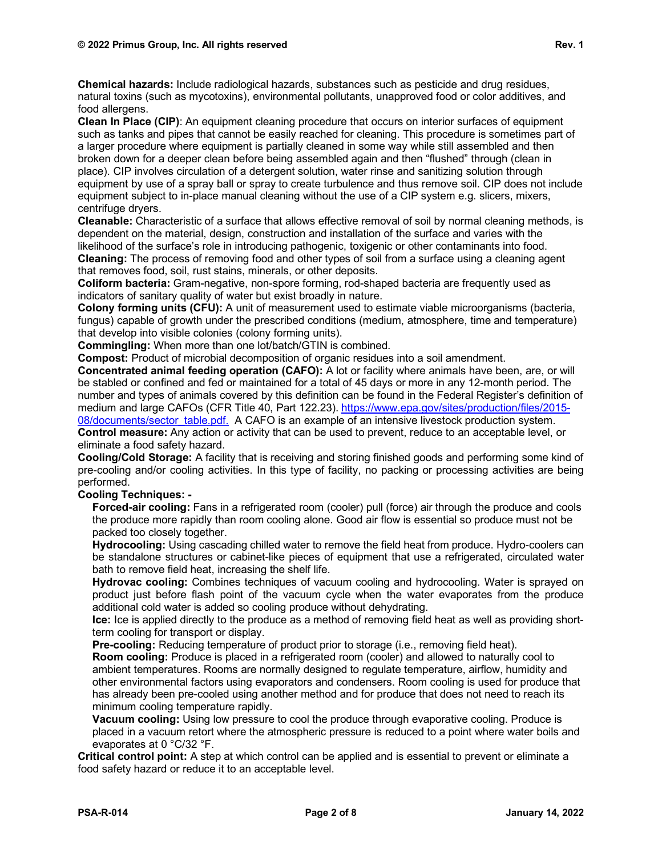**Chemical hazards:** Include radiological hazards, substances such as pesticide and drug residues, natural toxins (such as mycotoxins), environmental pollutants, unapproved food or color additives, and food allergens.

**Clean In Place (CIP)**: An equipment cleaning procedure that occurs on interior surfaces of equipment such as tanks and pipes that cannot be easily reached for cleaning. This procedure is sometimes part of a larger procedure where equipment is partially cleaned in some way while still assembled and then broken down for a deeper clean before being assembled again and then "flushed" through (clean in place). CIP involves circulation of a detergent solution, water rinse and sanitizing solution through equipment by use of a spray ball or spray to create turbulence and thus remove soil. CIP does not include equipment subject to in-place manual cleaning without the use of a CIP system e.g. slicers, mixers, centrifuge dryers.

**Cleanable:** Characteristic of a surface that allows effective removal of soil by normal cleaning methods, is dependent on the material, design, construction and installation of the surface and varies with the likelihood of the surface's role in introducing pathogenic, toxigenic or other contaminants into food.

**Cleaning:** The process of removing food and other types of soil from a surface using a cleaning agent that removes food, soil, rust stains, minerals, or other deposits.

**Coliform bacteria:** Gram-negative, non-spore forming, rod-shaped bacteria are frequently used as indicators of sanitary quality of water but exist broadly in nature.

**Colony forming units (CFU):** A unit of measurement used to estimate viable microorganisms (bacteria, fungus) capable of growth under the prescribed conditions (medium, atmosphere, time and temperature) that develop into visible colonies (colony forming units).

**Commingling:** When more than one lot/batch/GTIN is combined.

**Compost:** Product of microbial decomposition of organic residues into a soil amendment.

**Concentrated animal feeding operation (CAFO):** A lot or facility where animals have been, are, or will be stabled or confined and fed or maintained for a total of 45 days or more in any 12-month period. The number and types of animals covered by this definition can be found in the Federal Register's definition of medium and large CAFOs (CFR Title 40, Part 122.23). [https://www.epa.gov/sites/production/files/2015-](https://www.epa.gov/sites/production/files/2015-08/documents/sector_table.pdf) 08/documents/sector table.pdf. A CAFO is an example of an intensive livestock production system. **Control measure:** Any action or activity that can be used to prevent, reduce to an acceptable level, or eliminate a food safety hazard.

**Cooling/Cold Storage:** A facility that is receiving and storing finished goods and performing some kind of pre-cooling and/or cooling activities. In this type of facility, no packing or processing activities are being performed.

## **Cooling Techniques: -**

**Forced-air cooling:** Fans in a refrigerated room (cooler) pull (force) air through the produce and cools the produce more rapidly than room cooling alone. Good air flow is essential so produce must not be packed too closely together.

**Hydrocooling:** Using cascading chilled water to remove the field heat from produce. Hydro-coolers can be standalone structures or cabinet-like pieces of equipment that use a refrigerated, circulated water bath to remove field heat, increasing the shelf life.

**Hydrovac cooling:** Combines techniques of vacuum cooling and hydrocooling. Water is sprayed on product just before flash point of the vacuum cycle when the water evaporates from the produce additional cold water is added so cooling produce without dehydrating.

**Ice:** Ice is applied directly to the produce as a method of removing field heat as well as providing shortterm cooling for transport or display.

**Pre-cooling:** Reducing temperature of product prior to storage (i.e., removing field heat).

**Room cooling:** Produce is placed in a refrigerated room (cooler) and allowed to naturally cool to ambient temperatures. Rooms are normally designed to regulate temperature, airflow, humidity and other environmental factors using evaporators and condensers. Room cooling is used for produce that has already been pre-cooled using another method and for produce that does not need to reach its minimum cooling temperature rapidly.

**Vacuum cooling:** Using low pressure to cool the produce through evaporative cooling. Produce is placed in a vacuum retort where the atmospheric pressure is reduced to a point where water boils and evaporates at 0 °C/32 °F.

**Critical control point:** A step at which control can be applied and is essential to prevent or eliminate a food safety hazard or reduce it to an acceptable level.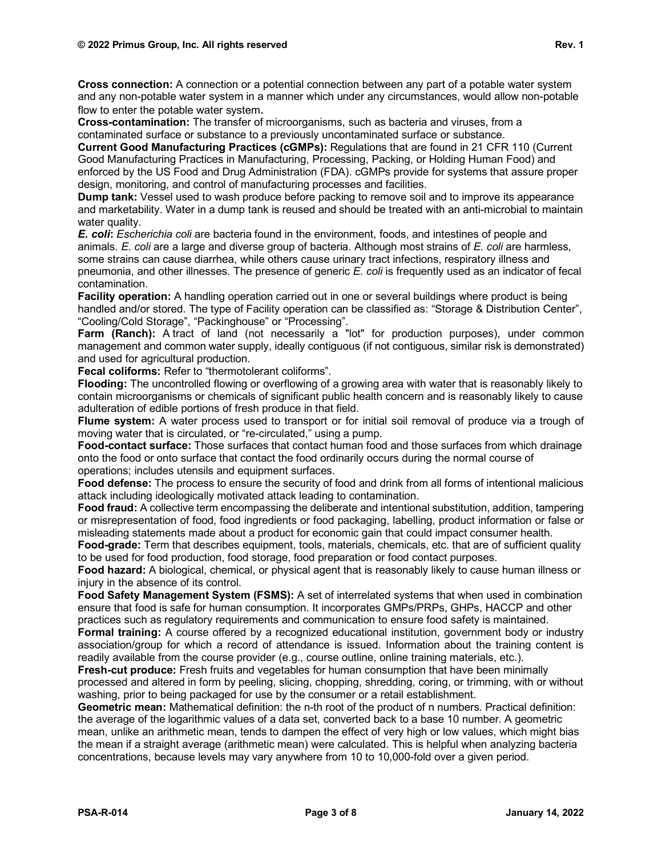**Cross connection:** A connection or a potential connection between any part of a potable water system and any non-potable water system in a manner which under any circumstances, would allow non-potable flow to enter the potable water system.

**Cross-contamination:** The transfer of microorganisms, such as bacteria and viruses, from a contaminated surface or substance to a previously uncontaminated surface or substance.

**Current Good Manufacturing Practices (cGMPs):** Regulations that are found in 21 CFR 110 (Current Good Manufacturing Practices in Manufacturing, Processing, Packing, or Holding Human Food) and enforced by the US Food and Drug Administration (FDA). cGMPs provide for systems that assure proper design, monitoring, and control of manufacturing processes and facilities.

**Dump tank:** Vessel used to wash produce before packing to remove soil and to improve its appearance and marketability. Water in a dump tank is reused and should be treated with an anti-microbial to maintain water quality.

*E. coli***:** *Escherichia coli* are bacteria found in the environment, foods, and intestines of people and animals. *E. coli* are a large and diverse group of bacteria. Although most strains of *E. coli* are harmless, some strains can cause diarrhea, while others cause urinary tract infections, respiratory illness and pneumonia, and other illnesses. The presence of generic *E. coli* is frequently used as an indicator of fecal contamination.

**Facility operation:** A handling operation carried out in one or several buildings where product is being handled and/or stored. The type of Facility operation can be classified as: "Storage & Distribution Center", "Cooling/Cold Storage", "Packinghouse" or "Processing".

**Farm (Ranch):** A tract of land (not necessarily a "lot" for production purposes), under common management and common water supply, ideally contiguous (if not contiguous, similar risk is demonstrated) and used for agricultural production.

**Fecal coliforms:** Refer to "thermotolerant coliforms".

**Flooding:** The uncontrolled flowing or overflowing of a growing area with water that is reasonably likely to contain microorganisms or chemicals of significant public health concern and is reasonably likely to cause adulteration of edible portions of fresh produce in that field.

**Flume system:** A water process used to transport or for initial soil removal of produce via a trough of moving water that is circulated, or "re-circulated," using a pump.

**Food-contact surface:** Those surfaces that contact human food and those surfaces from which drainage onto the food or onto surface that contact the food ordinarily occurs during the normal course of operations; includes utensils and equipment surfaces.

**Food defense:** The process to ensure the security of food and drink from all forms of intentional malicious attack including ideologically motivated attack leading to contamination.

**Food fraud:** A collective term encompassing the deliberate and intentional substitution, addition, tampering or misrepresentation of food, food ingredients or food packaging, labelling, product information or false or misleading statements made about a product for economic gain that could impact consumer health.

**Food-grade:** Term that describes equipment, tools, materials, chemicals, etc. that are of sufficient quality to be used for food production, food storage, food preparation or food contact purposes.

**Food hazard:** A biological, chemical, or physical agent that is reasonably likely to cause human illness or injury in the absence of its control.

**Food Safety Management System (FSMS):** A set of interrelated systems that when used in combination ensure that food is safe for human consumption. It incorporates GMPs/PRPs, GHPs, HACCP and other practices such as regulatory requirements and communication to ensure food safety is maintained.

**Formal training:** A course offered by a recognized educational institution, government body or industry association/group for which a record of attendance is issued. Information about the training content is readily available from the course provider (e.g., course outline, online training materials, etc.).

**Fresh-cut produce:** Fresh fruits and vegetables for human consumption that have been minimally processed and altered in form by peeling, slicing, chopping, shredding, coring, or trimming, with or without washing, prior to being packaged for use by the consumer or a retail establishment.

**Geometric mean:** Mathematical definition: the n-th root of the product of n numbers. Practical definition: the average of the logarithmic values of a data set, converted back to a base 10 number. A geometric mean, unlike an arithmetic mean, tends to dampen the effect of very high or low values, which might bias the mean if a straight average (arithmetic mean) were calculated. This is helpful when analyzing bacteria concentrations, because levels may vary anywhere from 10 to 10,000-fold over a given period.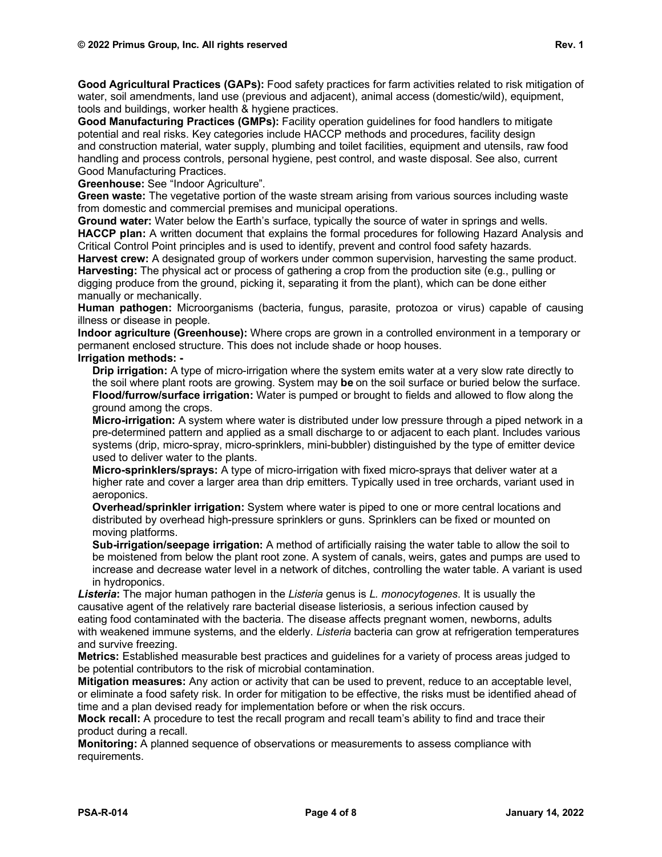**Good Agricultural Practices (GAPs):** Food safety practices for farm activities related to risk mitigation of water, soil amendments, land use (previous and adjacent), animal access (domestic/wild), equipment, tools and buildings, worker health & hygiene practices.

**Good Manufacturing Practices (GMPs):** Facility operation guidelines for food handlers to mitigate potential and real risks. Key categories include HACCP methods and procedures, facility design and [construction](https://thelawdictionary.org/construction-material/) material, water supply, plumbing and toilet facilities, equipment and utensils, raw food handling and process controls, personal hygiene, pest control, and waste [disposal.](https://thelawdictionary.org/waste-disposal/) See also, current Good Manufacturing Practices.

**Greenhouse:** See "Indoor Agriculture".

**Green waste:** The vegetative portion of the waste stream arising from various sources including waste from domestic and commercial premises and municipal operations.

**Ground water:** Water below the Earth's surface, typically the source of water in springs and wells. **HACCP plan:** A written document that explains the formal procedures for following Hazard Analysis and Critical Control Point principles and is used to identify, prevent and control food safety hazards.

**Harvest crew:** A designated group of workers under common supervision, harvesting the same product. **Harvesting:** The physical act or process of gathering a crop from the production site (e.g., pulling or digging produce from the ground, picking it, separating it from the plant), which can be done either manually or mechanically.

**Human pathogen:** Microorganisms (bacteria, fungus, parasite, protozoa or virus) capable of causing illness or disease in people.

**Indoor agriculture (Greenhouse):** Where crops are grown in a controlled environment in a temporary or permanent enclosed structure. This does not include shade or hoop houses.

**Irrigation methods: -**

**Drip irrigation:** A type of micro-irrigation where the system emits water at a very slow rate directly to the soil where plant roots are growing. System may **be** on the soil surface or buried below the surface. **Flood/furrow/surface irrigation:** Water is pumped or brought to fields and allowed to flow along the ground among the crops.

**Micro-irrigation:** A system where water is distributed under low pressure through a piped network in a pre-determined pattern and applied as a small discharge to or adjacent to each plant. Includes various systems (drip, micro-spray, micro-sprinklers, mini-bubbler) distinguished by the type of emitter device used to deliver water to the plants.

**Micro-sprinklers/sprays:** A type of micro-irrigation with fixed micro-sprays that deliver water at a higher rate and cover a larger area than drip emitters. Typically used in tree orchards, variant used in aeroponics.

**Overhead/sprinkler irrigation:** System where water is piped to one or more central locations and distributed by overhead high-pressure sprinklers or guns. Sprinklers can be fixed or mounted on moving platforms.

**Sub-irrigation/seepage irrigation:** A method of artificially raising the water table to allow the soil to be moistened from below the plant root zone. A system of canals, weirs, gates and pumps are used to increase and decrease water level in a network of ditches, controlling the water table. A variant is used in hydroponics.

*Listeria***:** The major [human pathogen](https://en.wikipedia.org/wiki/Human_pathogen) in the *Listeria* genus is *[L. monocytogenes](https://en.wikipedia.org/wiki/Listeria_monocytogenes)*. It is usually the causative agent of the relatively rare bacterial disease [listeriosis,](https://en.wikipedia.org/wiki/Listeriosis) a serious [infection](https://en.wikipedia.org/wiki/Infection) caused by eating [food contaminated](https://en.wikipedia.org/wiki/Foodborne_illness) with the bacteria. The disease affects [pregnant women,](https://en.wikipedia.org/wiki/Pregnancy) [newborns,](https://en.wikipedia.org/wiki/Neonate) adults with [weakened immune systems,](https://en.wikipedia.org/wiki/Immunodeficiency) and the [elderly.](https://en.wikipedia.org/wiki/Old_age) *Listeria* bacteria can grow at refrigeration temperatures and survive freezing.

**Metrics:** Established measurable best practices and guidelines for a variety of process areas judged to be potential contributors to the risk of microbial contamination.

**Mitigation measures:** Any action or activity that can be used to prevent, reduce to an acceptable level, or eliminate a food safety risk. In order for mitigation to be effective, the risks must be identified ahead of time and a plan devised ready for implementation before or when the risk occurs.

**Mock recall:** A procedure to test the recall program and recall team's ability to find and trace their product during a recall.

**Monitoring:** A planned sequence of observations or measurements to assess compliance with requirements.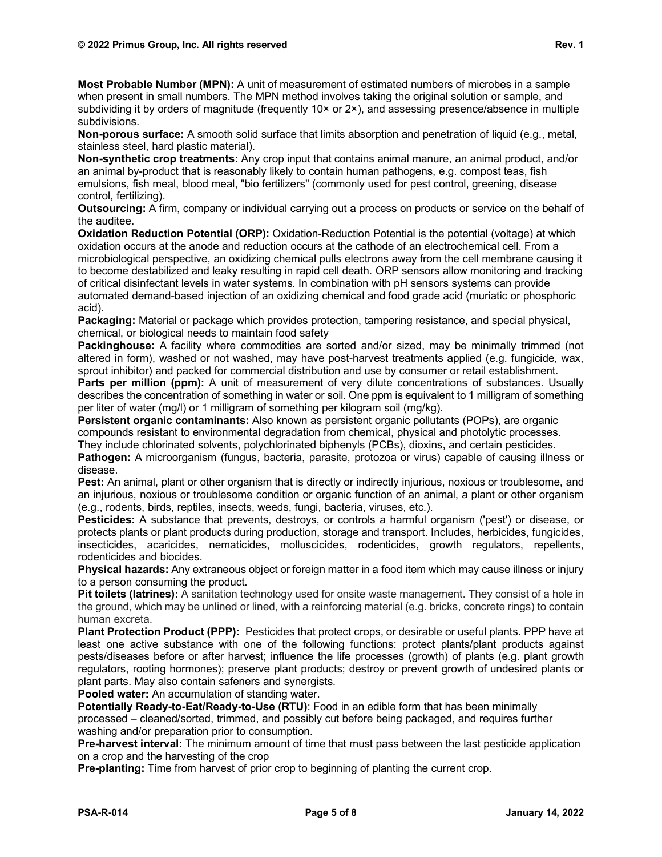**Most Probable Number (MPN):** A unit of measurement of estimated numbers of microbes in a sample when present in small numbers. The MPN method involves taking the original solution or sample, and subdividing it by orders of magnitude (frequently  $10 \times$  or  $2 \times$ ), and assessing presence/absence in multiple subdivisions.

**Non-porous surface:** A smooth solid surface that limits absorption and penetration of liquid (e.g., metal, stainless steel, hard plastic material).

**Non-synthetic crop treatments:** Any crop input that contains animal manure, an animal product, and/or an animal by-product that is reasonably likely to contain human pathogens, e.g. compost teas, fish emulsions, fish meal, blood meal, "bio fertilizers" (commonly used for pest control, greening, disease control, fertilizing).

**Outsourcing:** A firm, company or individual carrying out a process on products or service on the behalf of the auditee.

**Oxidation Reduction Potential (ORP):** Oxidation-Reduction Potential is the potential (voltage) at which oxidation occurs at the anode and reduction occurs at the cathode of an electrochemical cell. From a microbiological perspective, an oxidizing chemical pulls electrons away from the cell membrane causing it to become destabilized and leaky resulting in rapid cell death. ORP sensors allow monitoring and tracking of critical disinfectant levels in water systems. In combination with pH sensors systems can provide automated demand-based injection of an oxidizing chemical and food grade acid (muriatic or phosphoric acid).

**Packaging:** Material or package which provides protection, tampering resistance, and special physical, chemical, or biological needs to maintain food safety

**Packinghouse:** A facility where commodities are sorted and/or sized, may be minimally trimmed (not altered in form), washed or not washed, may have post-harvest treatments applied (e.g. fungicide, wax, sprout inhibitor) and packed for commercial distribution and use by consumer or retail establishment.

**Parts per million (ppm):** A unit of measurement of very dilute concentrations of substances. Usually describes the concentration of something in water or soil. One ppm is equivalent to 1 milligram of something per liter of water (mg/l) or 1 milligram of something per kilogram soil (mg/kg).

**Persistent organic contaminants:** Also known as persistent organic pollutants (POPs), are organic compounds resistant to environmental degradation from chemical, physical and photolytic processes. They include chlorinated solvents, polychlorinated biphenyls (PCBs), dioxins, and certain pesticides.

**Pathogen:** A microorganism (fungus, bacteria, parasite, protozoa or virus) capable of causing illness or disease.

**Pest:** An animal, plant or other organism that is directly or indirectly injurious, noxious or troublesome, and an injurious, noxious or troublesome condition or organic function of an animal, a plant or other organism (e.g., rodents, birds, reptiles, insects, weeds, fungi, bacteria, viruses, etc.).

**Pesticides:** A substance that prevents, destroys, or controls a harmful organism ('pest') or disease, or protects plants or plant products during production, storage and transport. Includes, herbicides, fungicides, insecticides, acaricides, nematicides, molluscicides, rodenticides, growth regulators, repellents, rodenticides and biocides.

**Physical hazards:** Any extraneous object or foreign matter in a food item which may cause illness or injury to a person consuming the product.

**Pit toilets (latrines):** A sanitation technology used for onsite waste management. They consist of a hole in the ground, which may be unlined or lined, with a reinforcing material (e.g. bricks, concrete rings) to contain human excreta.

**Plant Protection Product (PPP):** Pesticides that protect crops, or desirable or useful plants. PPP have at least one active substance with one of the following functions: protect plants/plant products against pests/diseases before or after harvest; influence the life processes (growth) of plants (e.g. plant growth regulators, rooting hormones); preserve plant products; destroy or prevent growth of undesired plants or plant parts. May also contain safeners and synergists.

**Pooled water:** An accumulation of standing water.

**Potentially Ready-to-Eat/Ready-to-Use (RTU)**: Food in an edible form that has been minimally processed – cleaned/sorted, trimmed, and possibly cut before being packaged, and requires further washing and/or preparation prior to consumption.

**Pre-harvest interval:** The minimum amount of time that must pass between the last pesticide application on a crop and the harvesting of the crop

**Pre-planting:** Time from harvest of prior crop to beginning of planting the current crop.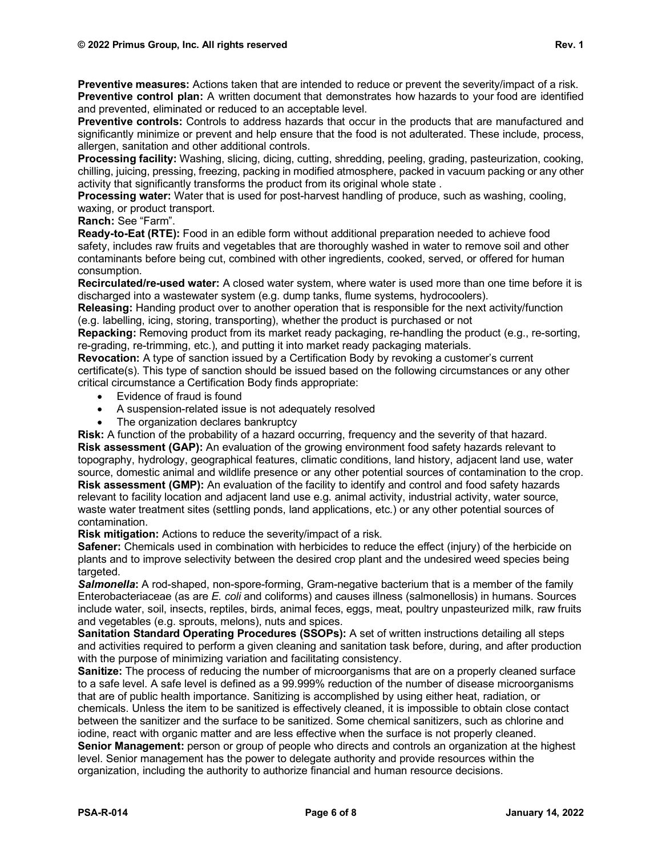**Preventive measures:** Actions taken that are intended to reduce or prevent the severity/impact of a risk. **Preventive control plan:** A written document that demonstrates how hazards to your food are identified and prevented, eliminated or reduced to an acceptable level.

**Preventive controls:** Controls to address hazards that occur in the products that are manufactured and significantly minimize or prevent and help ensure that the food is not adulterated. These include, process, allergen, sanitation and other additional controls.

**Processing facility:** Washing, slicing, dicing, cutting, shredding, peeling, grading, pasteurization, cooking, chilling, juicing, pressing, freezing, packing in modified atmosphere, packed in vacuum packing or any other activity that significantly transforms the product from its original whole state .

**Processing water:** Water that is used for post-harvest handling of produce, such as washing, cooling, waxing, or product transport.

## **Ranch:** See "Farm".

**Ready-to-Eat (RTE):** Food in an edible form without additional preparation needed to achieve food safety, includes raw fruits and vegetables that are thoroughly washed in water to remove soil and other contaminants before being cut, combined with other ingredients, cooked, served, or offered for human consumption.

**Recirculated/re-used water:** A closed water system, where water is used more than one time before it is discharged into a wastewater system (e.g. dump tanks, flume systems, hydrocoolers).

**Releasing:** Handing product over to another operation that is responsible for the next activity/function (e.g. labelling, icing, storing, transporting), whether the product is purchased or not

**Repacking:** Removing product from its market ready packaging, re-handling the product (e.g., re-sorting, re-grading, re-trimming, etc.), and putting it into market ready packaging materials.

**Revocation:** A type of sanction issued by a Certification Body by revoking a customer's current certificate(s). This type of sanction should be issued based on the following circumstances or any other critical circumstance a Certification Body finds appropriate:

- Evidence of fraud is found
- A suspension-related issue is not adequately resolved
- The organization declares bankruptcy

**Risk:** A function of the probability of a hazard occurring, frequency and the severity of that hazard. **Risk assessment (GAP):** An evaluation of the growing environment food safety hazards relevant to topography, hydrology, geographical features, climatic conditions, land history, adjacent land use, water source, domestic animal and wildlife presence or any other potential sources of contamination to the crop. **Risk assessment (GMP):** An evaluation of the facility to identify and control and food safety hazards relevant to facility location and adjacent land use e.g. animal activity, industrial activity, water source, waste water treatment sites (settling ponds, land applications, etc.) or any other potential sources of contamination.

**Risk mitigation:** Actions to reduce the severity/impact of a risk.

**Safener:** Chemicals used in combination with herbicides to reduce the effect (injury) of the herbicide on plants and to improve selectivity between the desired crop plant and the undesired weed species being targeted.

*Salmonella***:** A rod-shaped, non-spore-forming, Gram-negative bacterium that is a member of the family Enterobacteriaceae (as are *E. coli* and coliforms) and causes illness (salmonellosis) in humans. Sources include water, soil, insects, reptiles, birds, animal feces, eggs, meat, poultry unpasteurized milk, raw fruits and vegetables (e.g. sprouts, melons), nuts and spices.

**Sanitation Standard Operating Procedures (SSOPs):** A set of written instructions detailing all steps and activities required to perform a given cleaning and sanitation task before, during, and after production with the purpose of minimizing variation and facilitating consistency.

**Sanitize:** The process of reducing the number of microorganisms that are on a properly cleaned surface to a safe level. A safe level is defined as a 99.999% reduction of the number of disease microorganisms that are of public health importance. Sanitizing is accomplished by using either heat, radiation, or chemicals. Unless the item to be sanitized is effectively cleaned, it is impossible to obtain close contact between the sanitizer and the surface to be sanitized. Some chemical sanitizers, such as chlorine and iodine, react with organic matter and are less effective when the surface is not properly cleaned.

**Senior Management:** person or group of people who directs and controls an organization at the highest level. Senior management has the power to delegate authority and provide resources within the organization, including the authority to authorize financial and human resource decisions.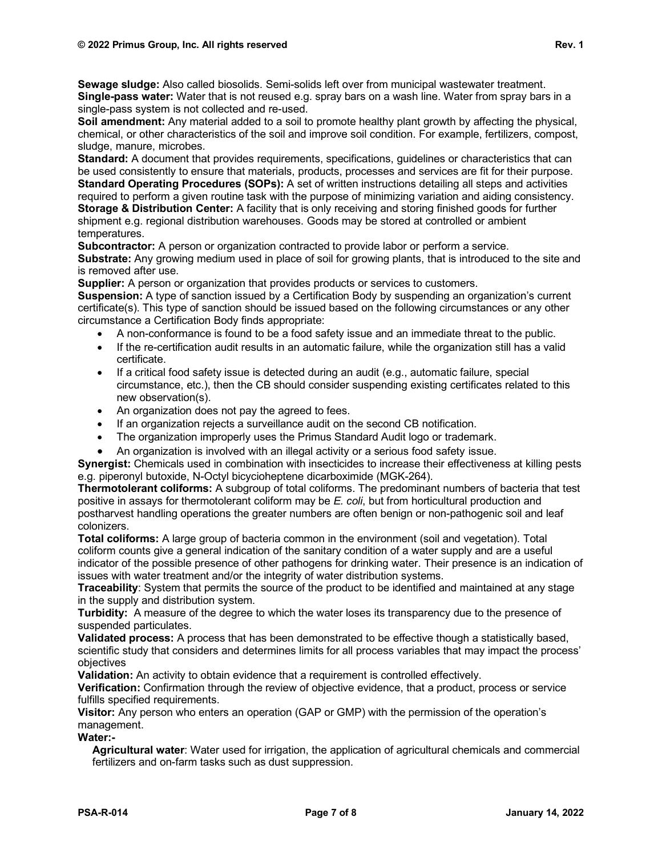**Sewage sludge:** Also called biosolids. Semi-solids left over from municipal wastewater treatment. **Single-pass water:** Water that is not reused e.g. spray bars on a wash line. Water from spray bars in a single-pass system is not collected and re-used.

**Soil amendment:** Any material added to a soil to promote healthy plant growth by affecting the physical, chemical, or other characteristics of the soil and improve soil condition. For example, fertilizers, compost, sludge, manure, microbes.

**Standard:** A document that provides requirements, specifications, guidelines or characteristics that can be used consistently to ensure that materials, products, processes and services are fit for their purpose. **Standard Operating Procedures (SOPs):** A set of written instructions detailing all steps and activities required to perform a given routine task with the purpose of minimizing variation and aiding consistency. **Storage & Distribution Center:** A facility that is only receiving and storing finished goods for further shipment e.g. regional distribution warehouses. Goods may be stored at controlled or ambient temperatures.

**Subcontractor:** A person or organization contracted to provide labor or perform a service. **Substrate:** Any growing medium used in place of soil for growing plants, that is introduced to the site and is removed after use.

**Supplier:** A person or organization that provides products or services to customers.

**Suspension:** A type of sanction issued by a Certification Body by suspending an organization's current certificate(s). This type of sanction should be issued based on the following circumstances or any other circumstance a Certification Body finds appropriate:

- A non-conformance is found to be a food safety issue and an immediate threat to the public.
- If the re-certification audit results in an automatic failure, while the organization still has a valid certificate.
- If a critical food safety issue is detected during an audit (e.g., automatic failure, special circumstance, etc.), then the CB should consider suspending existing certificates related to this new observation(s).
- An organization does not pay the agreed to fees.
- If an organization rejects a surveillance audit on the second CB notification.
- The organization improperly uses the Primus Standard Audit logo or trademark.
- An organization is involved with an illegal activity or a serious food safety issue.

**Synergist:** Chemicals used in combination with insecticides to increase their effectiveness at killing pests e.g. piperonyl butoxide, N-Octyl bicycioheptene dicarboximide (MGK-264).

**Thermotolerant coliforms:** A subgroup of total coliforms. The predominant numbers of bacteria that test positive in assays for thermotolerant coliform may be *E. coli*, but from horticultural production and postharvest handling operations the greater numbers are often benign or non-pathogenic soil and leaf colonizers.

**Total coliforms:** A large group of bacteria common in the environment (soil and vegetation). Total coliform counts give a general indication of the sanitary condition of a water supply and are a useful indicator of the possible presence of other pathogens for drinking water. Their presence is an indication of issues with water treatment and/or the integrity of water distribution systems.

**Traceability**: System that permits the source of the product to be identified and maintained at any stage in the supply and distribution system.

**Turbidity:** A measure of the degree to which the water loses its transparency due to the presence of suspended particulates.

**Validated process:** A process that has been demonstrated to be effective though a statistically based, scientific study that considers and determines limits for all process variables that may impact the process' objectives

**Validation:** An activity to obtain evidence that a requirement is controlled effectively.

**Verification:** Confirmation through the review of objective evidence, that a product, process or service fulfills specified requirements.

**Visitor:** Any person who enters an operation (GAP or GMP) with the permission of the operation's management.

**Water:-**

**Agricultural water**: Water used for irrigation, the application of agricultural chemicals and commercial fertilizers and on-farm tasks such as dust suppression.